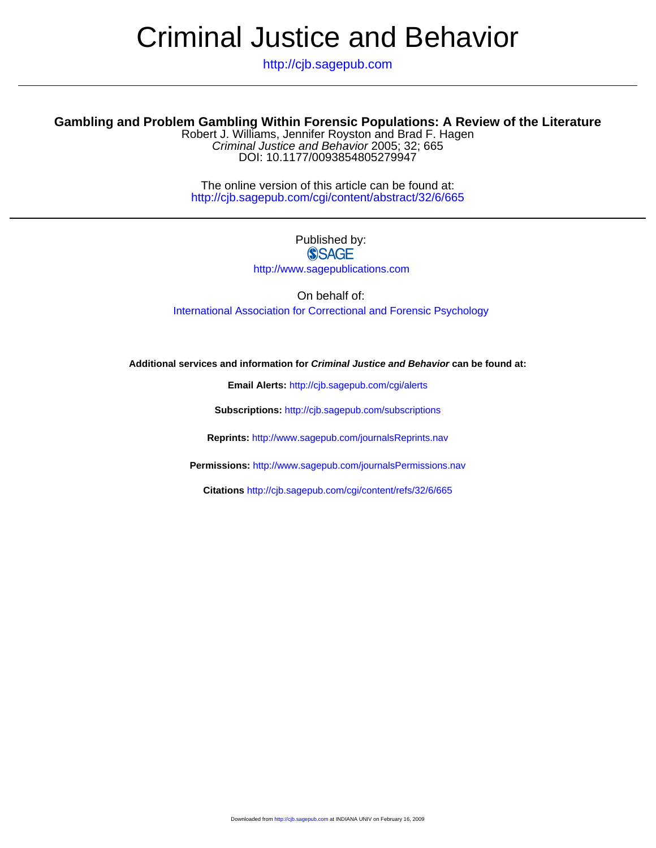# Criminal Justice and Behavior

http://cjb.sagepub.com

## **Gambling and Problem Gambling Within Forensic Populations: A Review of the Literature**

DOI: 10.1177/0093854805279947 Criminal Justice and Behavior 2005; 32; 665 Robert J. Williams, Jennifer Royston and Brad F. Hagen

http://cjb.sagepub.com/cgi/content/abstract/32/6/665 The online version of this article can be found at:

## Published by: **SSAGE**

http://www.sagepublications.com

On behalf of: [International Association for Correctional and Forensic Psychology](http://www.aa4cfp.org)

**Additional services and information for Criminal Justice and Behavior can be found at:**

**Email Alerts:** <http://cjb.sagepub.com/cgi/alerts>

**Subscriptions:** <http://cjb.sagepub.com/subscriptions>

**Reprints:** <http://www.sagepub.com/journalsReprints.nav>

**Permissions:** <http://www.sagepub.com/journalsPermissions.nav>

**Citations** <http://cjb.sagepub.com/cgi/content/refs/32/6/665>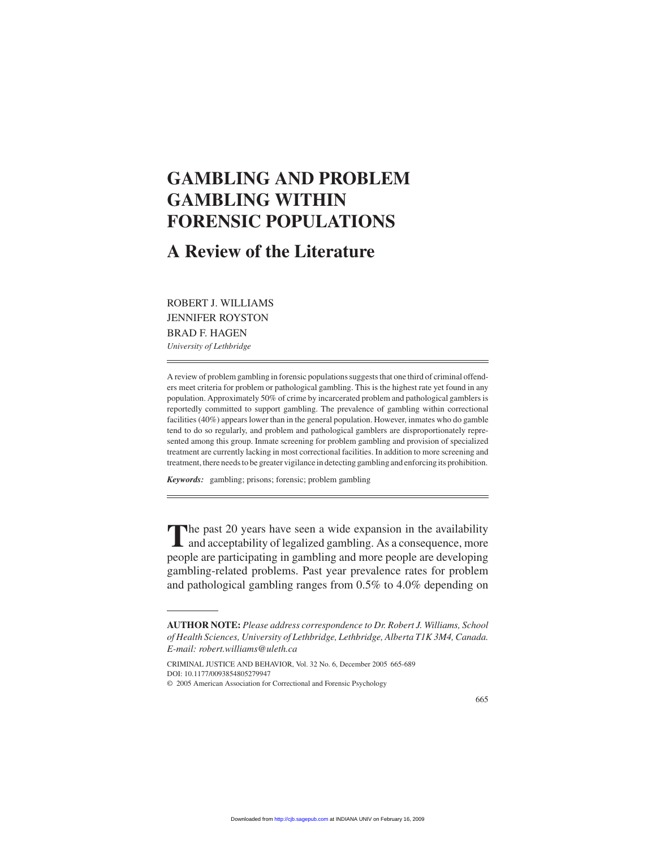# **GAMBLING AND PROBLEM GAMBLING WITHIN FORENSIC POPULATIONS**

# **A Review of the Literature**

## ROBERT J. WILLIAMS JENNIFER ROYSTON BRAD F. HAGEN

*University of Lethbridge*

A review of problem gambling in forensic populations suggests that one third of criminal offenders meet criteria for problem or pathological gambling. This is the highest rate yet found in any population. Approximately 50% of crime by incarcerated problem and pathological gamblers is reportedly committed to support gambling. The prevalence of gambling within correctional facilities (40%) appears lower than in the general population. However, inmates who do gamble tend to do so regularly, and problem and pathological gamblers are disproportionately represented among this group. Inmate screening for problem gambling and provision of specialized treatment are currently lacking in most correctional facilities. In addition to more screening and treatment, there needs to be greater vigilance in detecting gambling and enforcing its prohibition.

*Keywords:* gambling; prisons; forensic; problem gambling

The past 20 years have seen a wide expansion in the availability<br>and acceptability of legalized gambling. As a consequence, more people are participating in gambling and more people are developing gambling-related problems. Past year prevalence rates for problem and pathological gambling ranges from 0.5% to 4.0% depending on

CRIMINAL JUSTICE AND BEHAVIOR, Vol. 32 No. 6, December 2005 665-689 DOI: 10.1177/0093854805279947

**AUTHOR NOTE:** *Please address correspondence to Dr. Robert J. Williams, School of Health Sciences, University of Lethbridge, Lethbridge, Alberta T1K 3M4, Canada. E-mail: robert.williams@uleth.ca*

<sup>© 2005</sup> American Association for Correctional and Forensic Psychology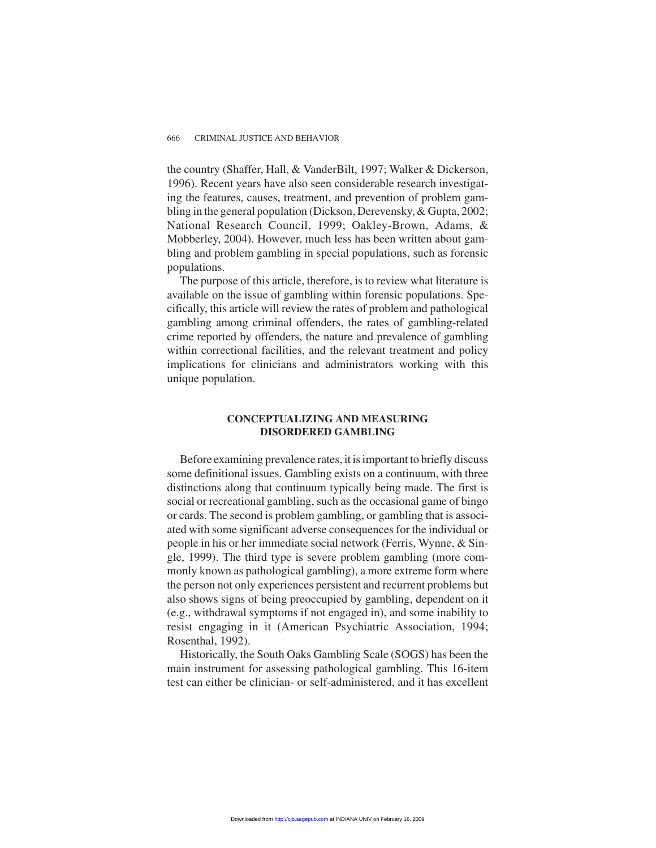the country (Shaffer, Hall, & VanderBilt, 1997; Walker & Dickerson, 1996). Recent years have also seen considerable research investigating the features, causes, treatment, and prevention of problem gambling in the general population (Dickson, Derevensky, & Gupta, 2002; National Research Council, 1999; Oakley-Brown, Adams, & Mobberley, 2004). However, much less has been written about gambling and problem gambling in special populations, such as forensic populations.

The purpose of this article, therefore, is to review what literature is available on the issue of gambling within forensic populations. Specifically, this article will review the rates of problem and pathological gambling among criminal offenders, the rates of gambling-related crime reported by offenders, the nature and prevalence of gambling within correctional facilities, and the relevant treatment and policy implications for clinicians and administrators working with this unique population.

#### **CONCEPTUALIZING AND MEASURING DISORDERED GAMBLING**

Before examining prevalence rates, it is important to briefly discuss some definitional issues. Gambling exists on a continuum, with three distinctions along that continuum typically being made. The first is social or recreational gambling, such as the occasional game of bingo or cards. The second is problem gambling, or gambling that is associated with some significant adverse consequences for the individual or people in his or her immediate social network (Ferris, Wynne, & Single, 1999). The third type is severe problem gambling (more commonly known as pathological gambling), a more extreme form where the person not only experiences persistent and recurrent problems but also shows signs of being preoccupied by gambling, dependent on it (e.g., withdrawal symptoms if not engaged in), and some inability to resist engaging in it (American Psychiatric Association, 1994; Rosenthal, 1992).

Historically, the South Oaks Gambling Scale (SOGS) has been the main instrument for assessing pathological gambling. This 16-item test can either be clinician- or self-administered, and it has excellent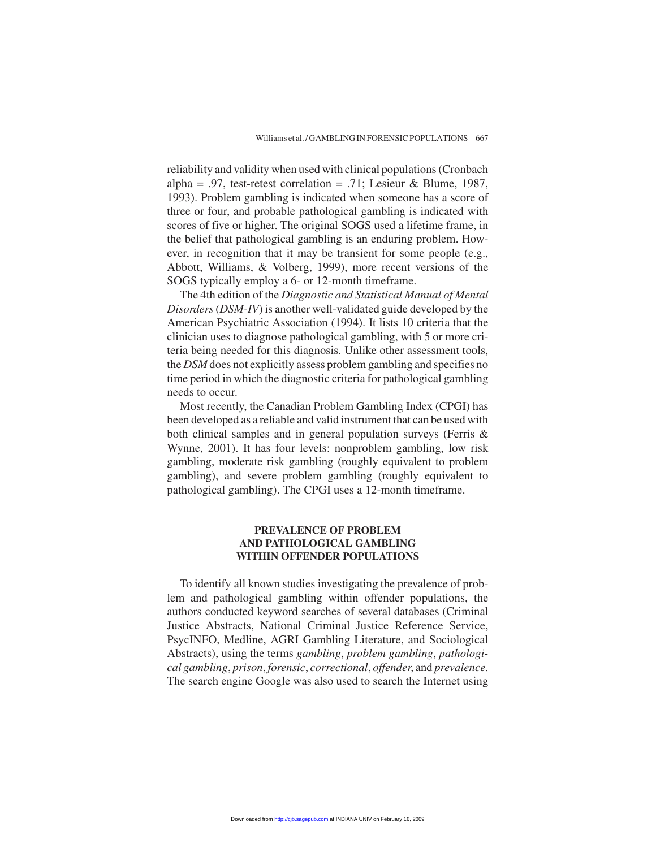reliability and validity when used with clinical populations (Cronbach alpha = .97, test-retest correlation = .71; Lesieur & Blume, 1987, 1993). Problem gambling is indicated when someone has a score of three or four, and probable pathological gambling is indicated with scores of five or higher. The original SOGS used a lifetime frame, in the belief that pathological gambling is an enduring problem. However, in recognition that it may be transient for some people (e.g., Abbott, Williams, & Volberg, 1999), more recent versions of the SOGS typically employ a 6- or 12-month timeframe.

The 4th edition of the *Diagnostic and Statistical Manual of Mental Disorders*(*DSM-IV*) is another well-validated guide developed by the American Psychiatric Association (1994). It lists 10 criteria that the clinician uses to diagnose pathological gambling, with 5 or more criteria being needed for this diagnosis. Unlike other assessment tools, the *DSM* does not explicitly assess problem gambling and specifies no time period in which the diagnostic criteria for pathological gambling needs to occur.

Most recently, the Canadian Problem Gambling Index (CPGI) has been developed as a reliable and valid instrument that can be used with both clinical samples and in general population surveys (Ferris & Wynne, 2001). It has four levels: nonproblem gambling, low risk gambling, moderate risk gambling (roughly equivalent to problem gambling), and severe problem gambling (roughly equivalent to pathological gambling). The CPGI uses a 12-month timeframe.

#### **PREVALENCE OF PROBLEM AND PATHOLOGICAL GAMBLING WITHIN OFFENDER POPULATIONS**

To identify all known studies investigating the prevalence of problem and pathological gambling within offender populations, the authors conducted keyword searches of several databases (Criminal Justice Abstracts, National Criminal Justice Reference Service, PsycINFO, Medline, AGRI Gambling Literature, and Sociological Abstracts), using the terms *gambling*, *problem gambling*, *pathological gambling*, *prison*, *forensic*, *correctional*, *offender*, and *prevalence*. The search engine Google was also used to search the Internet using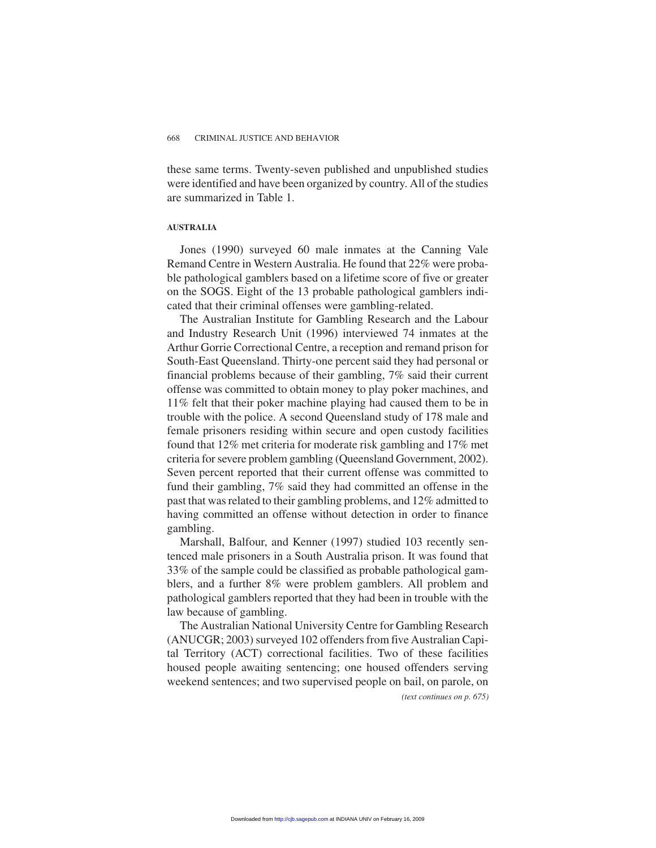these same terms. Twenty-seven published and unpublished studies were identified and have been organized by country. All of the studies are summarized in Table 1.

#### **AUSTRALIA**

Jones (1990) surveyed 60 male inmates at the Canning Vale Remand Centre in Western Australia. He found that 22% were probable pathological gamblers based on a lifetime score of five or greater on the SOGS. Eight of the 13 probable pathological gamblers indicated that their criminal offenses were gambling-related.

The Australian Institute for Gambling Research and the Labour and Industry Research Unit (1996) interviewed 74 inmates at the Arthur Gorrie Correctional Centre, a reception and remand prison for South-East Queensland. Thirty-one percent said they had personal or financial problems because of their gambling, 7% said their current offense was committed to obtain money to play poker machines, and 11% felt that their poker machine playing had caused them to be in trouble with the police. A second Queensland study of 178 male and female prisoners residing within secure and open custody facilities found that 12% met criteria for moderate risk gambling and 17% met criteria for severe problem gambling (Queensland Government, 2002). Seven percent reported that their current offense was committed to fund their gambling, 7% said they had committed an offense in the past that was related to their gambling problems, and 12% admitted to having committed an offense without detection in order to finance gambling.

Marshall, Balfour, and Kenner (1997) studied 103 recently sentenced male prisoners in a South Australia prison. It was found that 33% of the sample could be classified as probable pathological gamblers, and a further 8% were problem gamblers. All problem and pathological gamblers reported that they had been in trouble with the law because of gambling.

The Australian National University Centre for Gambling Research (ANUCGR; 2003) surveyed 102 offenders from five Australian Capital Territory (ACT) correctional facilities. Two of these facilities housed people awaiting sentencing; one housed offenders serving weekend sentences; and two supervised people on bail, on parole, on

*(text continues on p. 675)*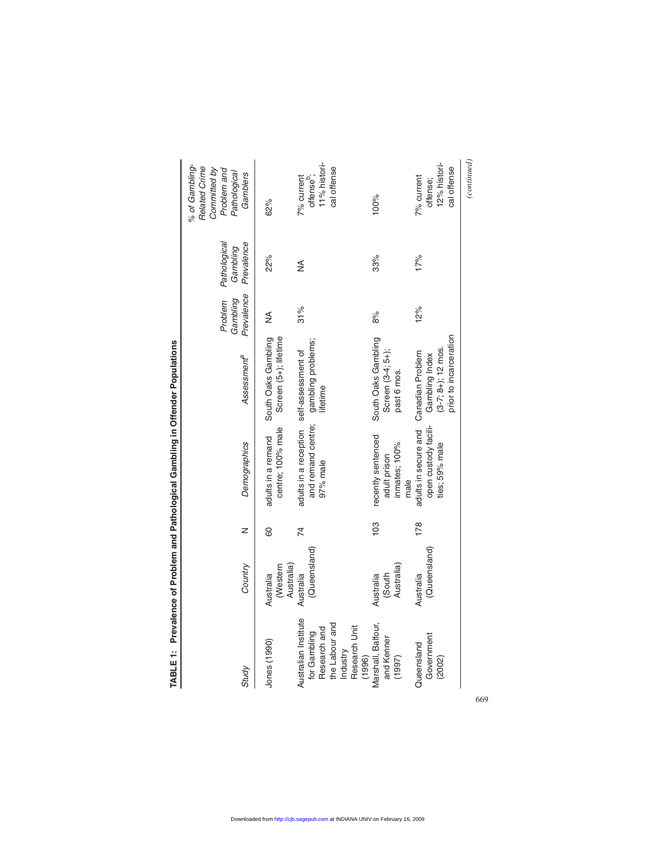| % of Gambling-<br>Related Crime<br>Committed by<br>Problem and<br>Pathological<br>Gamblers | 62%                                          | 11% histori-<br>cal offense<br>offense <sup>b</sup> ;<br>7% current                                           | 100%                                                        | 12% histori-<br>cal offense<br>7% current<br>offense;                           | (continued) |
|--------------------------------------------------------------------------------------------|----------------------------------------------|---------------------------------------------------------------------------------------------------------------|-------------------------------------------------------------|---------------------------------------------------------------------------------|-------------|
| Pathological<br>Prevalence<br>Gambling                                                     | 22%                                          | ≸                                                                                                             | 33%                                                         | 17%                                                                             |             |
| Prevalence<br>Gambling<br>Problem                                                          | ≸                                            | 31%                                                                                                           | 8%                                                          | 12%                                                                             |             |
| Assessment <sup>a</sup>                                                                    | South Oaks Gambling<br>Screen (5+); lifetime | gambling problems;<br>lifetime                                                                                | South Oaks Gambling<br>Screen (3-4; 5+);<br>past 6 mos.     | prior to incarceration<br>$(3-7; 8+)$ ; 12 mos.<br>Gambling Index               |             |
| Demographics                                                                               | centre; 100% male<br>adults in a remand      | adults in a reception self-assessment of<br>and remand centre;<br>97% male                                    | recently sentenced<br>inmates; 100%<br>adult prison<br>male | adults in secure and Canadian Problem<br>open custody facili-<br>ties; 59% male |             |
| z                                                                                          | 80                                           | 74                                                                                                            | 103                                                         | 178                                                                             |             |
| Country                                                                                    | (Western<br>Australia)<br>Australia          | (Queensland)<br>Australia                                                                                     | Australia)<br>(South<br>Australia                           | (Queensland)<br>Australia                                                       |             |
| Study                                                                                      | Jones (1990)                                 | Australian Institute<br>the Labour and<br>Research Unit<br>Research and<br>for Gambling<br>Industry<br>(1996) | Marshall, Balfour,<br>and Kenner<br>(1997)                  | Government<br>Queensland<br>(2002)                                              |             |

TABLE 1: Prevalence of Problem and Pathological Gambling in Offender Populations **TABLE 1: Prevalence of Problem and Pathological Gambling in Offender Populations**

669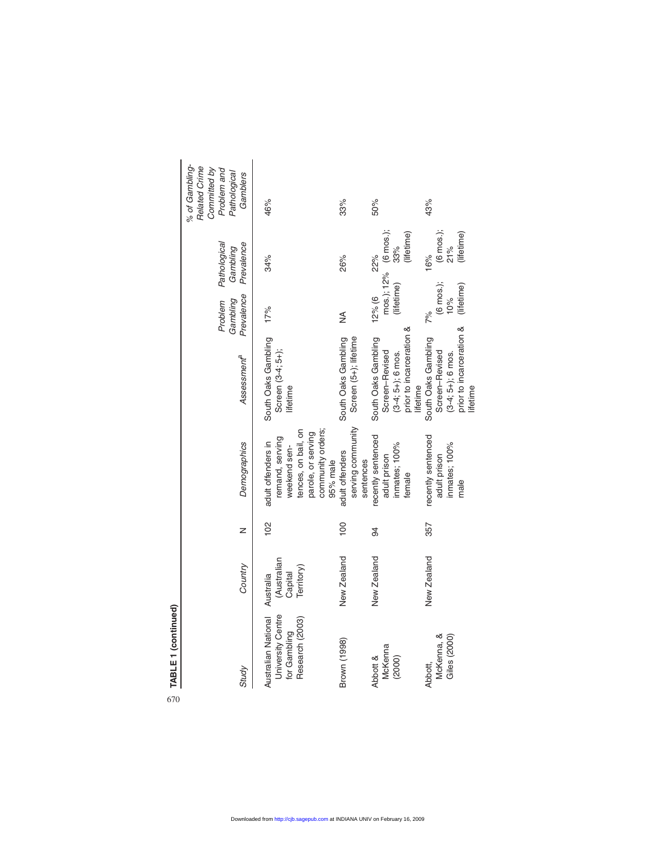| L<br>C<br>Ě |
|-------------|
| 570         |

670

|                                                                       | Country | z              | Demographics                                                                 | Assessment <sup>a</sup>                              | Problem<br>Prevalence<br>Gambling | Pathological<br>Prevalence<br>Gambling | % of Gambling-<br>Related Crime<br>Committed by<br>Problem and<br>Pathological<br>Gamblers |
|-----------------------------------------------------------------------|---------|----------------|------------------------------------------------------------------------------|------------------------------------------------------|-----------------------------------|----------------------------------------|--------------------------------------------------------------------------------------------|
| (Australian<br>Capital<br>Territory)<br>Australian National Australia |         | $\frac{2}{3}$  | tences, on bail, on<br>remand, serving<br>adult offenders in<br>weekend sen- | South Oaks Gambling<br>Screen (3-4; 5+);<br>lifetime | 17%                               | 34%                                    | 46%                                                                                        |
|                                                                       |         |                | community orders;<br>parole, or serving<br>95% male                          |                                                      |                                   |                                        |                                                                                            |
| New Zealand                                                           |         | $\overline{0}$ | serving community<br>adult offenders                                         | Screen (5+); lifetime<br>South Oaks Gambling         | ≸                                 | 26%                                    | 33%                                                                                        |
|                                                                       |         | 34             | sentences                                                                    |                                                      |                                   |                                        |                                                                                            |
| New Zealand                                                           |         |                | recently sentenced<br>adult prison                                           | South Oaks Gambling<br>Screen-Revised                | 12% (6)                           | 22%                                    | 50%                                                                                        |
|                                                                       |         |                | inmates; 100%                                                                | $(3-4; 5+)$ ; 6 mos.<br>prior to incarceration &     |                                   | mos.); 12% (6 mos.);<br>(lifetime) 33% |                                                                                            |
|                                                                       |         |                | female                                                                       | lifetime                                             |                                   | (lifetime)                             |                                                                                            |
| New Zealand                                                           |         | 357            | recently sentenced                                                           | South Oaks Gambling                                  | 7%                                | 16%                                    | 43%                                                                                        |
|                                                                       |         |                | adult prison                                                                 | Screen-Revised                                       | (6 mos.);                         | $(6 \text{ m}{0} \text{ s}).$<br>21%   |                                                                                            |
|                                                                       |         |                | inmates; 100%                                                                | $(3-4; 5+); 6$ mos.                                  | 10%                               |                                        |                                                                                            |
|                                                                       |         |                | male                                                                         | prior to incarceration &                             | (lifetime)                        | (lifetime)                             |                                                                                            |

lifetime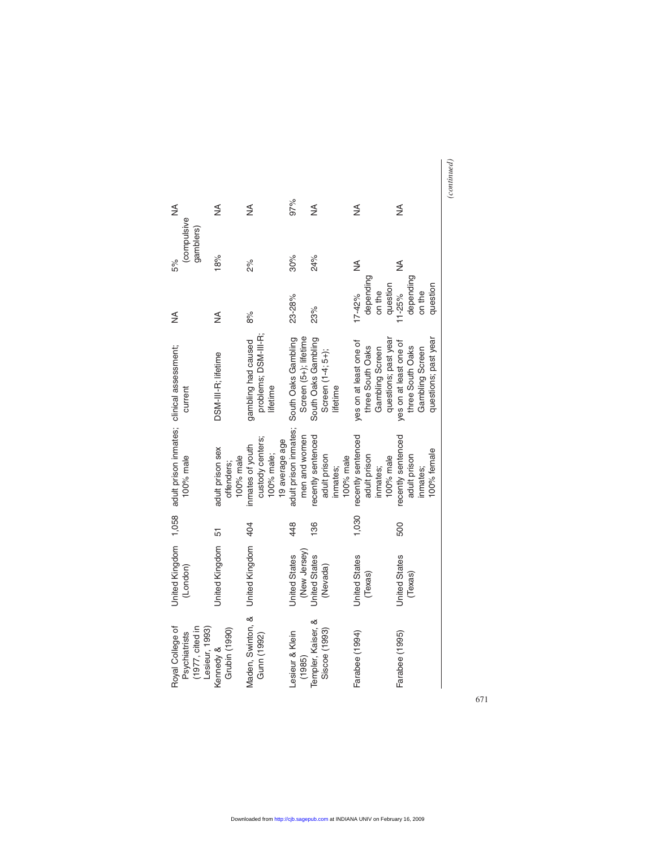|                                                                        |                                             |                                                                      | 97%                                          |                                                             |                                                                                       |                                                                                       |  |
|------------------------------------------------------------------------|---------------------------------------------|----------------------------------------------------------------------|----------------------------------------------|-------------------------------------------------------------|---------------------------------------------------------------------------------------|---------------------------------------------------------------------------------------|--|
| ≸                                                                      | ≸                                           | ≸                                                                    |                                              | ⋚                                                           | ≸                                                                                     | ≨                                                                                     |  |
| (compulsive<br>gamblers)<br>5%                                         | 18%                                         | 2%                                                                   | 30%                                          | 24%                                                         | ≸                                                                                     | ≸                                                                                     |  |
| ≸                                                                      | ≸                                           | 8%                                                                   | 23-28%                                       | 23%                                                         | depending<br>question<br>on the<br>$17 - 42%$                                         | depending<br>question<br>on the<br>$11 - 25%$                                         |  |
| current                                                                | DSM-III-R; lifetime                         | problems; DSM-III-R;<br>gambling had caused<br>lifetime              | Screen (5+); lifetime<br>South Oaks Gambling | South Oaks Gambling<br>Screen (1-4; 5+);<br>lifetime        | questions; past year<br>yes on at least one of<br>three South Oaks<br>Gambling Screen | questions; past year<br>yes on at least one of<br>three South Oaks<br>Gambling Screen |  |
| adult prison inmates; clinical assessment;<br>100% male                | adult prison sex<br>100% male<br>offenders; | custody centers;<br>19 average age<br>inmates of youth<br>100% male; | adult prison inmates;<br>men and women       | recently sentenced<br>adult prison<br>100% male<br>inmates; | recently sentenced<br>adult prison<br>100% male<br>inmates;                           | recently sentenced<br>100% female<br>adult prison<br>inmates;                         |  |
|                                                                        | 51                                          | 404                                                                  | 448                                          | $\frac{8}{3}$                                               | 1,030                                                                                 | 500                                                                                   |  |
| United Kingdom 1,058<br>(London)                                       | United Kingdom                              | United Kingdom                                                       | (New Jersey)<br><b>Jnited States</b>         | <b>Jnited States</b><br>(Nevada)                            | <b>Jnited States</b><br>(Texas)                                                       | <b>United States</b><br>(Texas)                                                       |  |
| Royal College of<br>(1977, cited in<br>Lesieur, 1993)<br>Psychiatrists | Grubin (1990)<br>Kennedy &                  | Maden, Swinton, &<br>Gunn (1992)                                     | Lesieur & Klein<br>(1985)                    | Templer, Kaiser, &<br>Siscoe (1993)                         | Farabee (1994)                                                                        | Farabee (1995)                                                                        |  |

 $\overline{(continued)}$ *(continued)*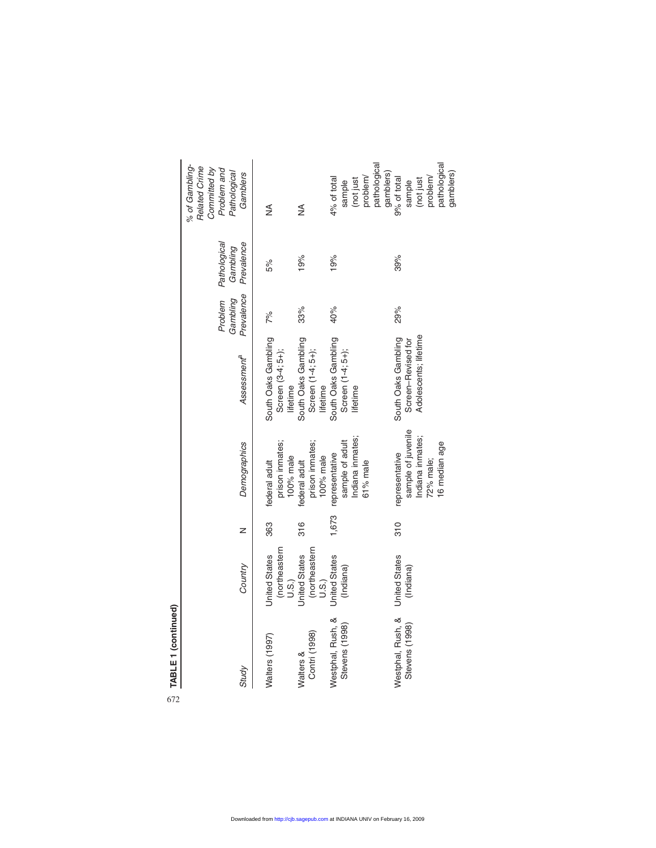| Westphal, Rush, &<br>Stevens (1998)<br>Contri (1998)<br>Walters (1997)<br>Walters &<br>Study | (northeastern<br>(northeastern<br><b>United States</b><br><b>United States</b><br><b>United States</b><br>Country<br>(Indiana)<br>U.S.)<br>U.S.) | 1,673<br>363<br>316<br>z | Indiana inmates;<br>sample of adult<br>prison inmates;<br>prison inmates;<br>Demographics<br>representative<br>100% male<br>100% male<br>federal adult<br>federal adult | South Oaks Gambling<br>South Oaks Gambling<br>South Oaks Gambling<br>Screen (1-4; 5+);<br>Screen (3-4; 5+);<br>Screen (1-4; 5+);<br>Assessment <sup>a</sup><br>lifetime<br>lifetime<br>lifetime | Prevalence<br>Problem<br>Gambling<br>40%<br>33%<br>7% | Pathological<br>Prevalence<br>Gambling<br>19%<br>19%<br>5% | Related Crime<br>Committed by<br>Problem and<br>Pathological<br>Gamblers<br>4% of total<br>sample<br>(not just<br>≸<br>≸ |
|----------------------------------------------------------------------------------------------|--------------------------------------------------------------------------------------------------------------------------------------------------|--------------------------|-------------------------------------------------------------------------------------------------------------------------------------------------------------------------|-------------------------------------------------------------------------------------------------------------------------------------------------------------------------------------------------|-------------------------------------------------------|------------------------------------------------------------|--------------------------------------------------------------------------------------------------------------------------|
| Westphal, Rush, &<br>Stevens (1998)                                                          | <b>United States</b><br>(Indiana)                                                                                                                | 310                      | sample of juvenile<br>Indiana inmates;<br>16 median age<br>representative<br>72% male;<br>61% male                                                                      | Adolescents; lifetime<br>South Oaks Gambling<br>Screen-Revised for                                                                                                                              | 29%                                                   | 39%                                                        | pathological<br>pathological<br>gamblers)<br>gamblers)<br>problem/<br>problem/<br>9% of total<br>(not just<br>sample     |

TABLE 1 (continued) 672**TABLE 1 (continued)**

672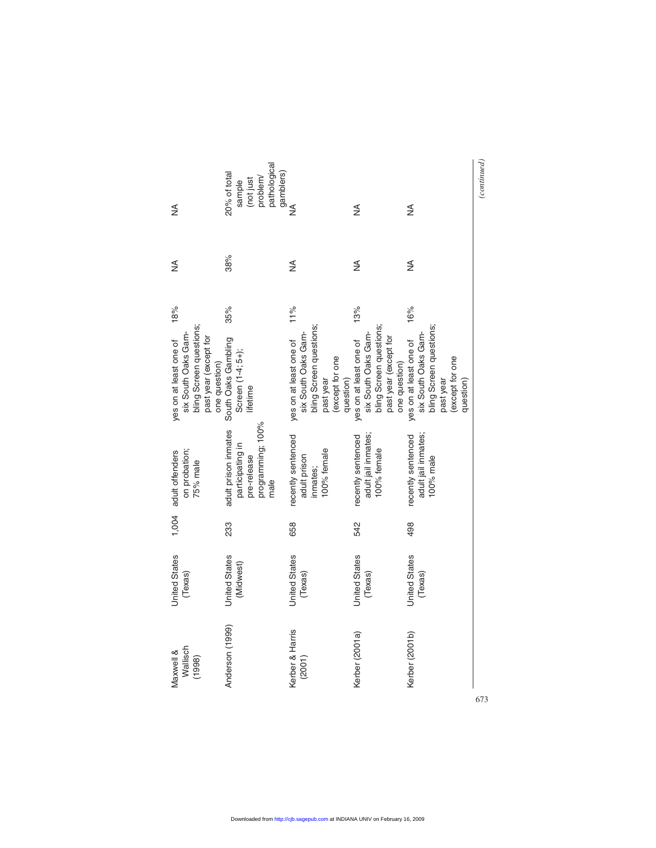| ≸                                                                                                                  | pathological<br>gamblers)<br>20% of total<br>problem/<br>(not just<br>sample         | ≸                                                                                                                     | ≸                                                                                                                  | ≸                                                                                                                     | (continued) |
|--------------------------------------------------------------------------------------------------------------------|--------------------------------------------------------------------------------------|-----------------------------------------------------------------------------------------------------------------------|--------------------------------------------------------------------------------------------------------------------|-----------------------------------------------------------------------------------------------------------------------|-------------|
| ≸                                                                                                                  | 38%                                                                                  | ⋚                                                                                                                     | ≸                                                                                                                  | ≸                                                                                                                     |             |
| 18%                                                                                                                | 35%                                                                                  | 11%                                                                                                                   | 13%                                                                                                                | 16%                                                                                                                   |             |
| bling Screen questions;<br>six South Oaks Gam-<br>past year (except for<br>yes on at least one of<br>one question) | South Oaks Gambling<br>Screen (1-4; 5+);<br>lifetime                                 | bling Screen questions;<br>six South Oaks Gam-<br>yes on at least one of<br>(except for one<br>question)<br>past year | bling Screen questions;<br>six South Oaks Gam-<br>past year (except for<br>yes on at least one of<br>one question) | bling Screen questions;<br>six South Oaks Gam-<br>yes on at least one of<br>(except for one<br>past year<br>question) |             |
| on probation;<br>1,004 adult offenders<br>75% male                                                                 | programming; 100%<br>adult prison inmates<br>participating in<br>pre-release<br>male | recently sentenced<br>100% female<br>adult prison<br>inmates;                                                         | adult jail inmates;<br>recently sentenced<br>100% female                                                           | adult jail inmates;<br>recently sentenced<br>100% male                                                                |             |
|                                                                                                                    | 233                                                                                  | 658                                                                                                                   | 542                                                                                                                | 498                                                                                                                   |             |
| <b>United States</b><br>(Texas)                                                                                    | <b>United States</b><br>(Midwest)                                                    | <b>United States</b><br>(Texas)                                                                                       | <b>United States</b><br>(Texas)                                                                                    | <b>United States</b><br>(Texas)                                                                                       |             |
| Wallisch<br>Maxwell &<br>(1998)                                                                                    | Anderson (1999)                                                                      | Kerber & Harris<br>(2001)                                                                                             | Kerber (2001a)                                                                                                     | Kerber (2001b)                                                                                                        | 673         |

673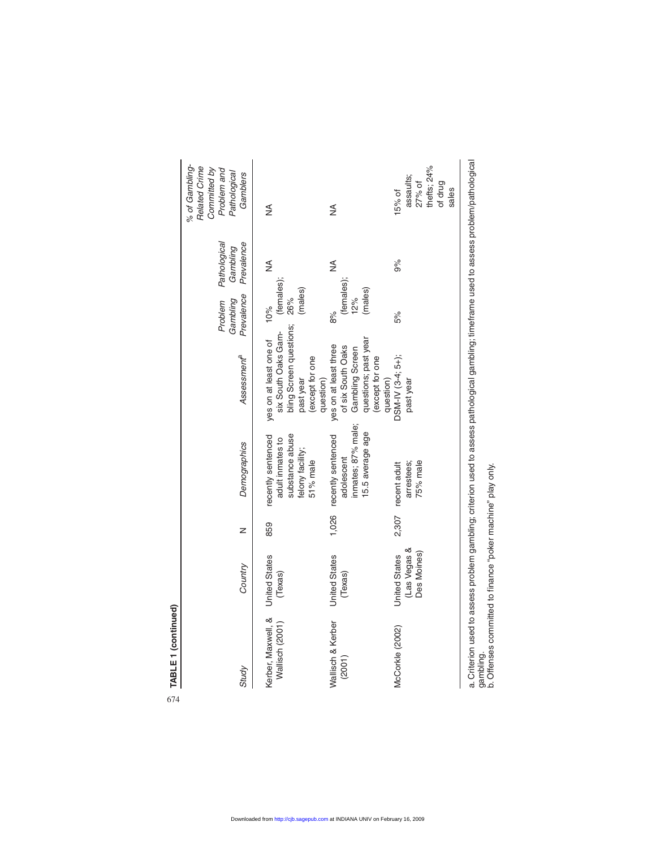| Study                                 | Country                                             | z     | Demographics                                                                              | Assessment <sup>a</sup>                                                                                               | Prevalence<br>Problem<br>Gambling  | Pathological<br>Prevalence<br>Gambling | % of Gambling-<br>Related Crime<br>Committed by<br>Problem and<br>Pathological<br>Gamblers |
|---------------------------------------|-----------------------------------------------------|-------|-------------------------------------------------------------------------------------------|-----------------------------------------------------------------------------------------------------------------------|------------------------------------|----------------------------------------|--------------------------------------------------------------------------------------------|
| Kerber, Maxwell, &<br>Wallisch (2001) | <b>United States</b><br>(Texas)                     | 859   | recently sentenced<br>substance abuse<br>adult inmates to<br>felony facility;<br>51% male | bling Screen questions; 26%<br>six South Oaks Gam-<br>yes on at least one of<br>(except for one<br>past year          | (females);<br>(males)<br>10%       | ≸                                      | ≸                                                                                          |
| Wallisch & Kerber<br>(2001)           | <b>United States</b><br>(Texas)                     | 1,026 | inmates; 87% male;<br>15.5 average age<br>recently sentenced<br>adolescent                | Gambling Screen<br>questions; past year<br>yes on at least three<br>of six South Oaks<br>(except for one<br>question) | (females);<br>(males)<br>12%<br>8% | ≸                                      | ⋚                                                                                          |
| McCorkle (2002)                       | (Las Vegas &<br>Des Moines)<br><b>United States</b> |       | 75% male<br>arrestees;<br>2,307 recent adult                                              | DSM-IV (3-4; 5+);<br>question)<br>past year                                                                           | 5%                                 | 9%                                     | assaults;<br>27% of<br>15% of                                                              |
|                                       |                                                     |       |                                                                                           |                                                                                                                       |                                    |                                        | thefts; 24%<br>of drug<br>sales                                                            |

a. Criterion used to assess problem gambling; criterion used to assess pathological gambling; timeframe used to assess problem/pathological a. Criterion used to assess problem gambling; criterion used to assess pathological gambling; timeframe used to assess problem/pathological<br>gambling.<br>b. Offenses committed to finance "poker machine" play only.

b. Offenses committed to finance "poker machine" play only.

674**TABLE 1 (continued)**

674

TABLE 1 (continued)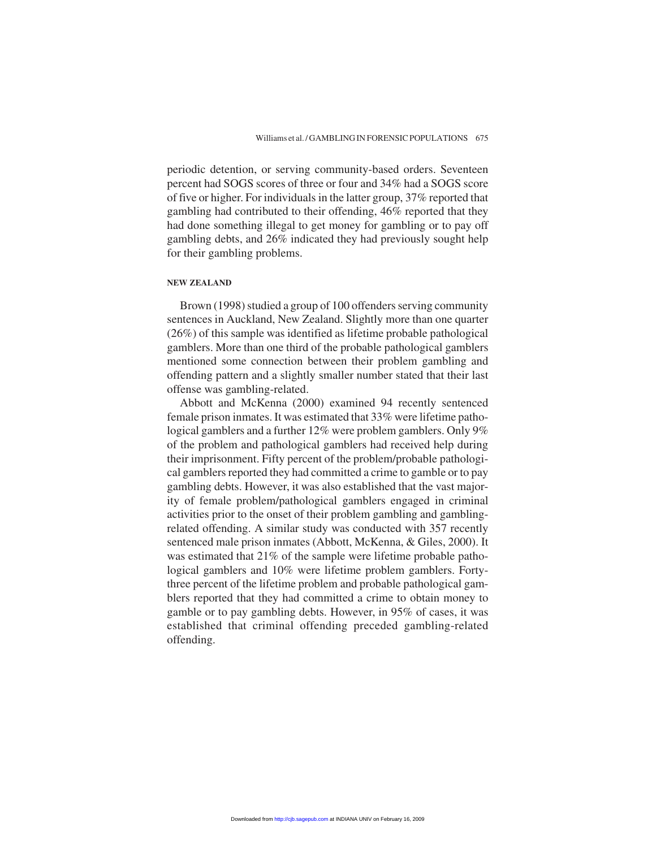periodic detention, or serving community-based orders. Seventeen percent had SOGS scores of three or four and 34% had a SOGS score of five or higher. For individuals in the latter group, 37% reported that gambling had contributed to their offending, 46% reported that they had done something illegal to get money for gambling or to pay off gambling debts, and 26% indicated they had previously sought help for their gambling problems.

#### **NEW ZEALAND**

Brown (1998) studied a group of 100 offenders serving community sentences in Auckland, New Zealand. Slightly more than one quarter (26%) of this sample was identified as lifetime probable pathological gamblers. More than one third of the probable pathological gamblers mentioned some connection between their problem gambling and offending pattern and a slightly smaller number stated that their last offense was gambling-related.

Abbott and McKenna (2000) examined 94 recently sentenced female prison inmates. It was estimated that 33% were lifetime pathological gamblers and a further 12% were problem gamblers. Only 9% of the problem and pathological gamblers had received help during their imprisonment. Fifty percent of the problem/probable pathological gamblers reported they had committed a crime to gamble or to pay gambling debts. However, it was also established that the vast majority of female problem/pathological gamblers engaged in criminal activities prior to the onset of their problem gambling and gamblingrelated offending. A similar study was conducted with 357 recently sentenced male prison inmates (Abbott, McKenna, & Giles, 2000). It was estimated that 21% of the sample were lifetime probable pathological gamblers and 10% were lifetime problem gamblers. Fortythree percent of the lifetime problem and probable pathological gamblers reported that they had committed a crime to obtain money to gamble or to pay gambling debts. However, in 95% of cases, it was established that criminal offending preceded gambling-related offending.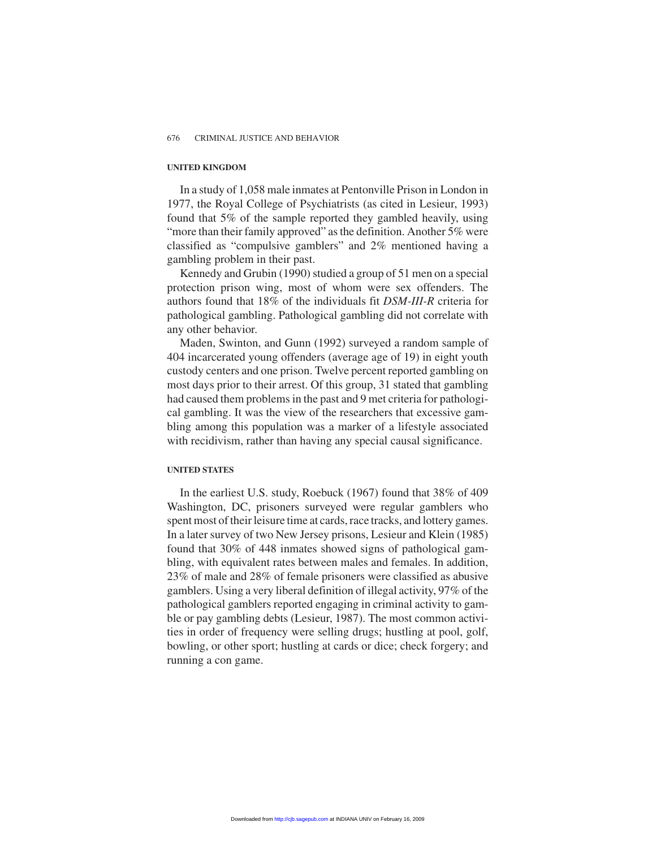#### **UNITED KINGDOM**

In a study of 1,058 male inmates at Pentonville Prison in London in 1977, the Royal College of Psychiatrists (as cited in Lesieur, 1993) found that 5% of the sample reported they gambled heavily, using "more than their family approved" as the definition. Another 5% were classified as "compulsive gamblers" and 2% mentioned having a gambling problem in their past.

Kennedy and Grubin (1990) studied a group of 51 men on a special protection prison wing, most of whom were sex offenders. The authors found that 18% of the individuals fit *DSM-III-R* criteria for pathological gambling. Pathological gambling did not correlate with any other behavior.

Maden, Swinton, and Gunn (1992) surveyed a random sample of 404 incarcerated young offenders (average age of 19) in eight youth custody centers and one prison. Twelve percent reported gambling on most days prior to their arrest. Of this group, 31 stated that gambling had caused them problems in the past and 9 met criteria for pathological gambling. It was the view of the researchers that excessive gambling among this population was a marker of a lifestyle associated with recidivism, rather than having any special causal significance.

#### **UNITED STATES**

In the earliest U.S. study, Roebuck (1967) found that 38% of 409 Washington, DC, prisoners surveyed were regular gamblers who spent most of their leisure time at cards, race tracks, and lottery games. In a later survey of two New Jersey prisons, Lesieur and Klein (1985) found that 30% of 448 inmates showed signs of pathological gambling, with equivalent rates between males and females. In addition, 23% of male and 28% of female prisoners were classified as abusive gamblers. Using a very liberal definition of illegal activity, 97% of the pathological gamblers reported engaging in criminal activity to gamble or pay gambling debts (Lesieur, 1987). The most common activities in order of frequency were selling drugs; hustling at pool, golf, bowling, or other sport; hustling at cards or dice; check forgery; and running a con game.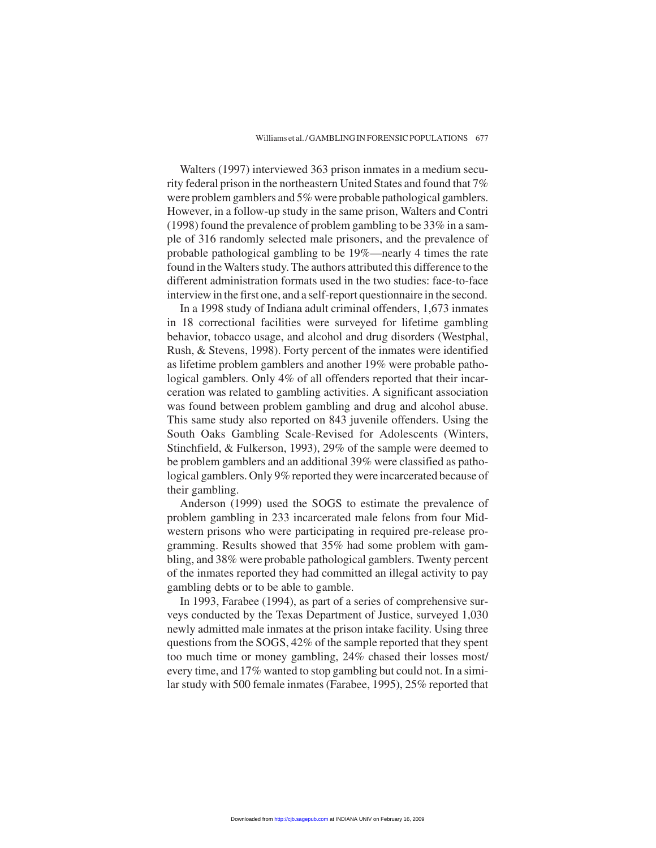Walters (1997) interviewed 363 prison inmates in a medium security federal prison in the northeastern United States and found that 7% were problem gamblers and 5% were probable pathological gamblers. However, in a follow-up study in the same prison, Walters and Contri (1998) found the prevalence of problem gambling to be 33% in a sample of 316 randomly selected male prisoners, and the prevalence of probable pathological gambling to be 19%—nearly 4 times the rate found in the Walters study. The authors attributed this difference to the different administration formats used in the two studies: face-to-face interview in the first one, and a self-report questionnaire in the second.

In a 1998 study of Indiana adult criminal offenders, 1,673 inmates in 18 correctional facilities were surveyed for lifetime gambling behavior, tobacco usage, and alcohol and drug disorders (Westphal, Rush, & Stevens, 1998). Forty percent of the inmates were identified as lifetime problem gamblers and another 19% were probable pathological gamblers. Only 4% of all offenders reported that their incarceration was related to gambling activities. A significant association was found between problem gambling and drug and alcohol abuse. This same study also reported on 843 juvenile offenders. Using the South Oaks Gambling Scale-Revised for Adolescents (Winters, Stinchfield, & Fulkerson, 1993), 29% of the sample were deemed to be problem gamblers and an additional 39% were classified as pathological gamblers. Only 9% reported they were incarcerated because of their gambling.

Anderson (1999) used the SOGS to estimate the prevalence of problem gambling in 233 incarcerated male felons from four Midwestern prisons who were participating in required pre-release programming. Results showed that 35% had some problem with gambling, and 38% were probable pathological gamblers. Twenty percent of the inmates reported they had committed an illegal activity to pay gambling debts or to be able to gamble.

In 1993, Farabee (1994), as part of a series of comprehensive surveys conducted by the Texas Department of Justice, surveyed 1,030 newly admitted male inmates at the prison intake facility. Using three questions from the SOGS, 42% of the sample reported that they spent too much time or money gambling, 24% chased their losses most/ every time, and 17% wanted to stop gambling but could not. In a similar study with 500 female inmates (Farabee, 1995), 25% reported that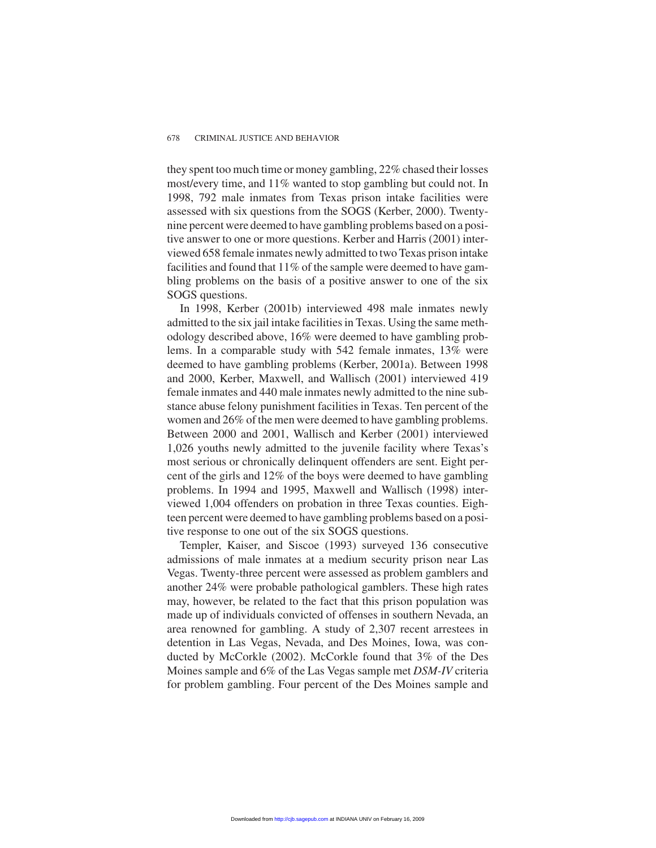they spent too much time or money gambling, 22% chased their losses most/every time, and 11% wanted to stop gambling but could not. In 1998, 792 male inmates from Texas prison intake facilities were assessed with six questions from the SOGS (Kerber, 2000). Twentynine percent were deemed to have gambling problems based on a positive answer to one or more questions. Kerber and Harris (2001) interviewed 658 female inmates newly admitted to two Texas prison intake facilities and found that 11% of the sample were deemed to have gambling problems on the basis of a positive answer to one of the six SOGS questions.

In 1998, Kerber (2001b) interviewed 498 male inmates newly admitted to the six jail intake facilities in Texas. Using the same methodology described above, 16% were deemed to have gambling problems. In a comparable study with 542 female inmates, 13% were deemed to have gambling problems (Kerber, 2001a). Between 1998 and 2000, Kerber, Maxwell, and Wallisch (2001) interviewed 419 female inmates and 440 male inmates newly admitted to the nine substance abuse felony punishment facilities in Texas. Ten percent of the women and 26% of the men were deemed to have gambling problems. Between 2000 and 2001, Wallisch and Kerber (2001) interviewed 1,026 youths newly admitted to the juvenile facility where Texas's most serious or chronically delinquent offenders are sent. Eight percent of the girls and 12% of the boys were deemed to have gambling problems. In 1994 and 1995, Maxwell and Wallisch (1998) interviewed 1,004 offenders on probation in three Texas counties. Eighteen percent were deemed to have gambling problems based on a positive response to one out of the six SOGS questions.

Templer, Kaiser, and Siscoe (1993) surveyed 136 consecutive admissions of male inmates at a medium security prison near Las Vegas. Twenty-three percent were assessed as problem gamblers and another 24% were probable pathological gamblers. These high rates may, however, be related to the fact that this prison population was made up of individuals convicted of offenses in southern Nevada, an area renowned for gambling. A study of 2,307 recent arrestees in detention in Las Vegas, Nevada, and Des Moines, Iowa, was conducted by McCorkle (2002). McCorkle found that 3% of the Des Moines sample and 6% of the Las Vegas sample met *DSM-IV* criteria for problem gambling. Four percent of the Des Moines sample and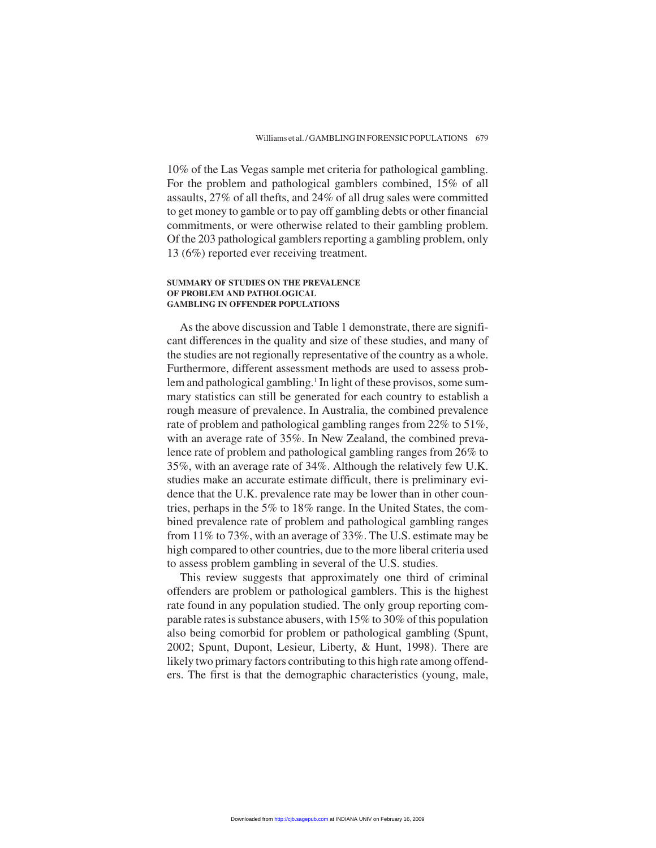10% of the Las Vegas sample met criteria for pathological gambling. For the problem and pathological gamblers combined, 15% of all assaults, 27% of all thefts, and 24% of all drug sales were committed to get money to gamble or to pay off gambling debts or other financial commitments, or were otherwise related to their gambling problem. Of the 203 pathological gamblers reporting a gambling problem, only 13 (6%) reported ever receiving treatment.

#### **SUMMARY OF STUDIES ON THE PREVALENCE OF PROBLEM AND PATHOLOGICAL GAMBLING IN OFFENDER POPULATIONS**

As the above discussion and Table 1 demonstrate, there are significant differences in the quality and size of these studies, and many of the studies are not regionally representative of the country as a whole. Furthermore, different assessment methods are used to assess problem and pathological gambling.<sup>1</sup> In light of these provisos, some summary statistics can still be generated for each country to establish a rough measure of prevalence. In Australia, the combined prevalence rate of problem and pathological gambling ranges from 22% to 51%, with an average rate of 35%. In New Zealand, the combined prevalence rate of problem and pathological gambling ranges from 26% to 35%, with an average rate of 34%. Although the relatively few U.K. studies make an accurate estimate difficult, there is preliminary evidence that the U.K. prevalence rate may be lower than in other countries, perhaps in the 5% to 18% range. In the United States, the combined prevalence rate of problem and pathological gambling ranges from 11% to 73%, with an average of 33%. The U.S. estimate may be high compared to other countries, due to the more liberal criteria used to assess problem gambling in several of the U.S. studies.

This review suggests that approximately one third of criminal offenders are problem or pathological gamblers. This is the highest rate found in any population studied. The only group reporting comparable rates is substance abusers, with 15% to 30% of this population also being comorbid for problem or pathological gambling (Spunt, 2002; Spunt, Dupont, Lesieur, Liberty, & Hunt, 1998). There are likely two primary factors contributing to this high rate among offenders. The first is that the demographic characteristics (young, male,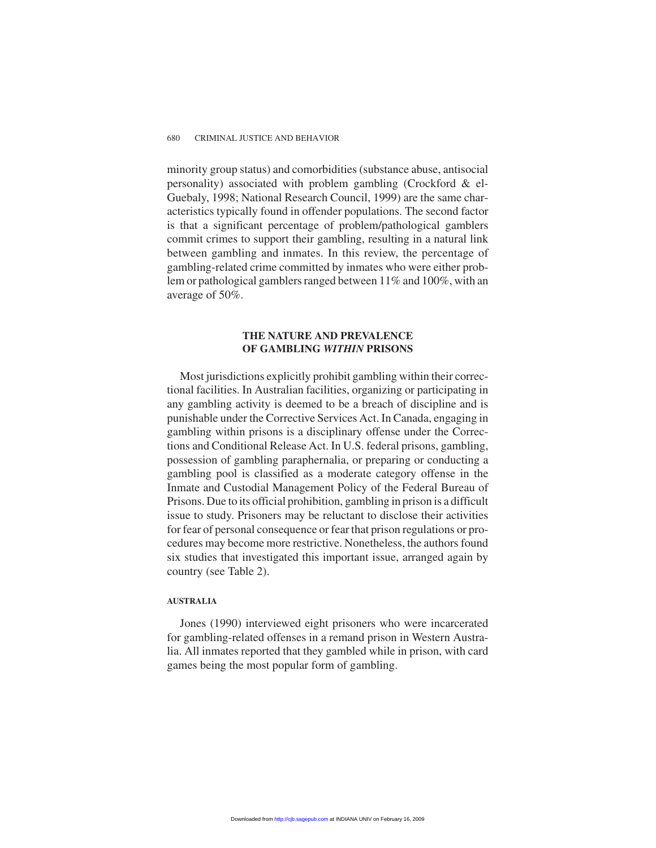minority group status) and comorbidities (substance abuse, antisocial personality) associated with problem gambling (Crockford & el-Guebaly, 1998; National Research Council, 1999) are the same characteristics typically found in offender populations. The second factor is that a significant percentage of problem/pathological gamblers commit crimes to support their gambling, resulting in a natural link between gambling and inmates. In this review, the percentage of gambling-related crime committed by inmates who were either problem or pathological gamblers ranged between 11% and 100%, with an average of 50%.

#### **THE NATURE AND PREVALENCE OF GAMBLING** *WITHIN* **PRISONS**

Most jurisdictions explicitly prohibit gambling within their correctional facilities. In Australian facilities, organizing or participating in any gambling activity is deemed to be a breach of discipline and is punishable under the Corrective Services Act. In Canada, engaging in gambling within prisons is a disciplinary offense under the Corrections and Conditional Release Act. In U.S. federal prisons, gambling, possession of gambling paraphernalia, or preparing or conducting a gambling pool is classified as a moderate category offense in the Inmate and Custodial Management Policy of the Federal Bureau of Prisons. Due to its official prohibition, gambling in prison is a difficult issue to study. Prisoners may be reluctant to disclose their activities for fear of personal consequence or fear that prison regulations or procedures may become more restrictive. Nonetheless, the authors found six studies that investigated this important issue, arranged again by country (see Table 2).

#### **AUSTRALIA**

Jones (1990) interviewed eight prisoners who were incarcerated for gambling-related offenses in a remand prison in Western Australia. All inmates reported that they gambled while in prison, with card games being the most popular form of gambling.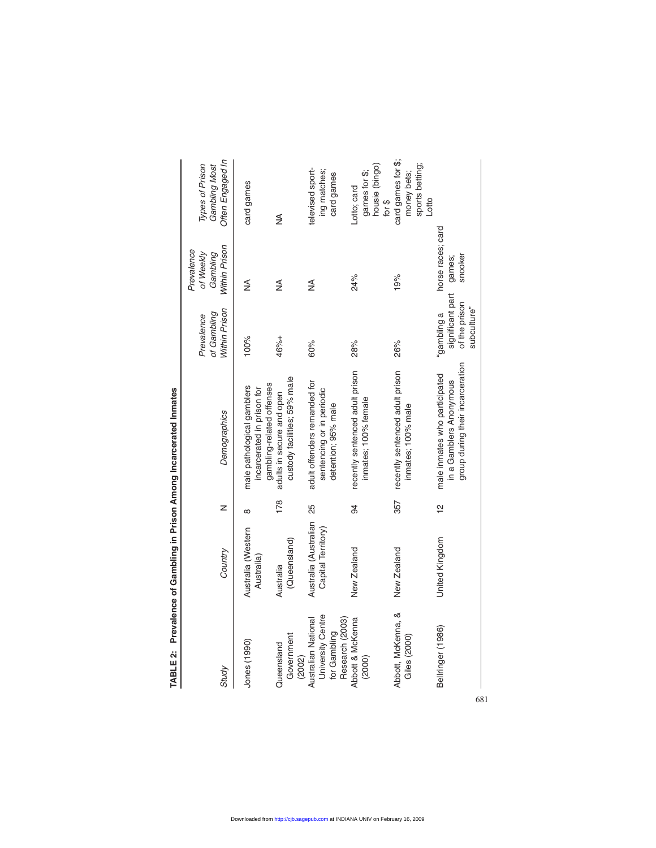| Study                                                                       | Country                                        | z             | Demographics                                                                                 | Within Prison<br>of Gambling<br>Prevalence                      | Within Prison<br>Prevalence<br>of Weekly<br>Gambling | Often Engaged In<br>Gambling Most<br>Types of Prison                |
|-----------------------------------------------------------------------------|------------------------------------------------|---------------|----------------------------------------------------------------------------------------------|-----------------------------------------------------------------|------------------------------------------------------|---------------------------------------------------------------------|
| Jones (1990)                                                                | Australia (Western<br>Australia)               | $\infty$      | gambling-related offenses<br>male pathological gamblers<br>incarcerated in prison for        | 100%                                                            | ≸                                                    | card games                                                          |
| Government<br>Queensland<br>(2002)                                          | (Queensland)<br>Australia                      | 178           | custody facilities; 59% male<br>adults in secure and open                                    | 46%+                                                            | ≸                                                    | ≸                                                                   |
| University Centre<br>Australian National<br>Research (2003)<br>for Gambling | Australia (Australian 25<br>Capital Territory) |               | adult offenders remanded for<br>sentencing or in periodic<br>detention; 95% male             | 60%                                                             | ≸                                                    | televised sport-<br>ing matches;<br>card games                      |
| Abbott & McKenna<br>(2000)                                                  | New Zealand                                    | 94            | recently sentenced adult prison<br>inmates; 100% female                                      | 28%                                                             | 24%                                                  | housie (bingo)<br>games for \$;<br>Lotto; card<br>for $\frac{6}{5}$ |
| Abbott, McKenna, &<br>Giles (2000)                                          | New Zealand                                    | 357           | recently sentenced adult prison<br>inmates; 100% male                                        | 26%                                                             | 19%                                                  | card games for \$;<br>sports betting;<br>money bets;<br>Lotto       |
| Bellringer (1986)                                                           | United Kingdom                                 | $\frac{1}{2}$ | group during their incarceration<br>male inmates who participated<br>in a Gamblers Anonymous | significant part<br>of the prison<br>subculture"<br>a puildmap, | horse races; card<br>snooker<br>games;               |                                                                     |
|                                                                             |                                                |               |                                                                                              |                                                                 |                                                      |                                                                     |

TABLE 2: Prevalence of Gambling in Prison Among Incarcerated Inmates **TABLE 2: Prevalence of Gambling in Prison Among Incarcerated Inmates**

681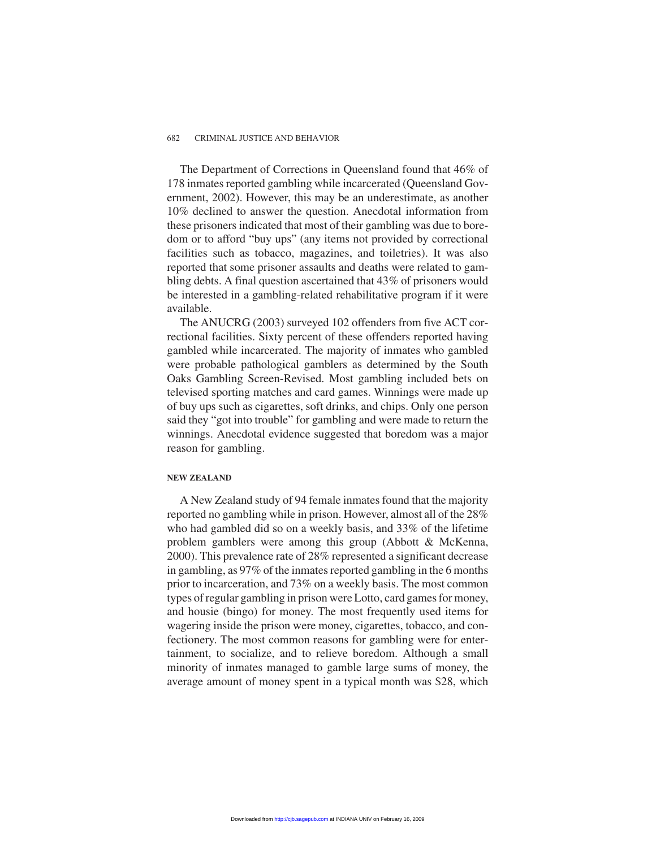The Department of Corrections in Queensland found that 46% of 178 inmates reported gambling while incarcerated (Queensland Government, 2002). However, this may be an underestimate, as another 10% declined to answer the question. Anecdotal information from these prisoners indicated that most of their gambling was due to boredom or to afford "buy ups" (any items not provided by correctional facilities such as tobacco, magazines, and toiletries). It was also reported that some prisoner assaults and deaths were related to gambling debts. A final question ascertained that 43% of prisoners would be interested in a gambling-related rehabilitative program if it were available.

The ANUCRG (2003) surveyed 102 offenders from five ACT correctional facilities. Sixty percent of these offenders reported having gambled while incarcerated. The majority of inmates who gambled were probable pathological gamblers as determined by the South Oaks Gambling Screen-Revised. Most gambling included bets on televised sporting matches and card games. Winnings were made up of buy ups such as cigarettes, soft drinks, and chips. Only one person said they "got into trouble" for gambling and were made to return the winnings. Anecdotal evidence suggested that boredom was a major reason for gambling.

#### **NEW ZEALAND**

A New Zealand study of 94 female inmates found that the majority reported no gambling while in prison. However, almost all of the 28% who had gambled did so on a weekly basis, and 33% of the lifetime problem gamblers were among this group (Abbott & McKenna, 2000). This prevalence rate of 28% represented a significant decrease in gambling, as 97% of the inmates reported gambling in the 6 months prior to incarceration, and 73% on a weekly basis. The most common types of regular gambling in prison were Lotto, card games for money, and housie (bingo) for money. The most frequently used items for wagering inside the prison were money, cigarettes, tobacco, and confectionery. The most common reasons for gambling were for entertainment, to socialize, and to relieve boredom. Although a small minority of inmates managed to gamble large sums of money, the average amount of money spent in a typical month was \$28, which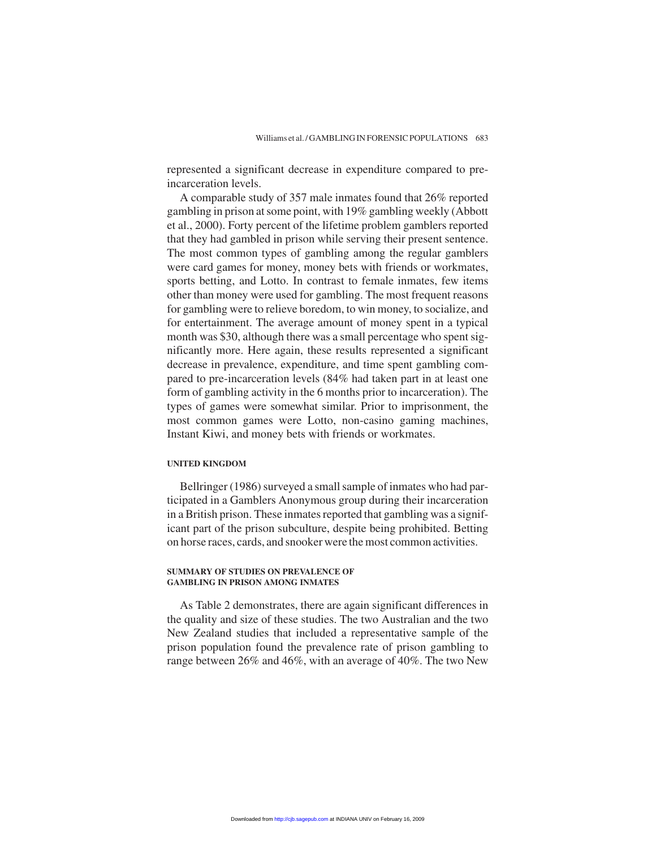represented a significant decrease in expenditure compared to preincarceration levels.

A comparable study of 357 male inmates found that 26% reported gambling in prison at some point, with 19% gambling weekly (Abbott et al., 2000). Forty percent of the lifetime problem gamblers reported that they had gambled in prison while serving their present sentence. The most common types of gambling among the regular gamblers were card games for money, money bets with friends or workmates, sports betting, and Lotto. In contrast to female inmates, few items other than money were used for gambling. The most frequent reasons for gambling were to relieve boredom, to win money, to socialize, and for entertainment. The average amount of money spent in a typical month was \$30, although there was a small percentage who spent significantly more. Here again, these results represented a significant decrease in prevalence, expenditure, and time spent gambling compared to pre-incarceration levels (84% had taken part in at least one form of gambling activity in the 6 months prior to incarceration). The types of games were somewhat similar. Prior to imprisonment, the most common games were Lotto, non-casino gaming machines, Instant Kiwi, and money bets with friends or workmates.

#### **UNITED KINGDOM**

Bellringer (1986) surveyed a small sample of inmates who had participated in a Gamblers Anonymous group during their incarceration in a British prison. These inmates reported that gambling was a significant part of the prison subculture, despite being prohibited. Betting on horse races, cards, and snooker were the most common activities.

#### **SUMMARY OF STUDIES ON PREVALENCE OF GAMBLING IN PRISON AMONG INMATES**

As Table 2 demonstrates, there are again significant differences in the quality and size of these studies. The two Australian and the two New Zealand studies that included a representative sample of the prison population found the prevalence rate of prison gambling to range between 26% and 46%, with an average of 40%. The two New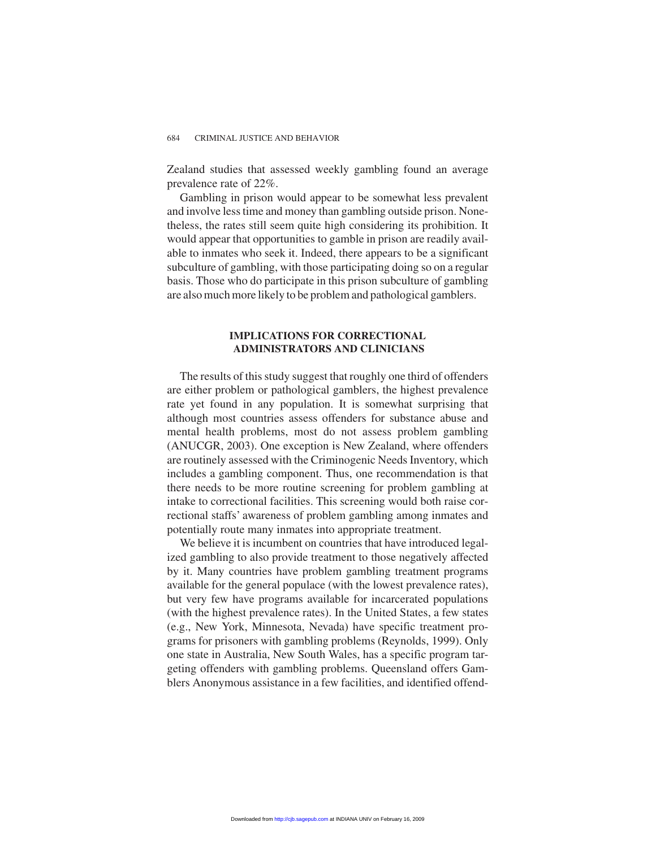Zealand studies that assessed weekly gambling found an average prevalence rate of 22%.

Gambling in prison would appear to be somewhat less prevalent and involve less time and money than gambling outside prison. Nonetheless, the rates still seem quite high considering its prohibition. It would appear that opportunities to gamble in prison are readily available to inmates who seek it. Indeed, there appears to be a significant subculture of gambling, with those participating doing so on a regular basis. Those who do participate in this prison subculture of gambling are also much more likely to be problem and pathological gamblers.

#### **IMPLICATIONS FOR CORRECTIONAL ADMINISTRATORS AND CLINICIANS**

The results of this study suggest that roughly one third of offenders are either problem or pathological gamblers, the highest prevalence rate yet found in any population. It is somewhat surprising that although most countries assess offenders for substance abuse and mental health problems, most do not assess problem gambling (ANUCGR, 2003). One exception is New Zealand, where offenders are routinely assessed with the Criminogenic Needs Inventory, which includes a gambling component. Thus, one recommendation is that there needs to be more routine screening for problem gambling at intake to correctional facilities. This screening would both raise correctional staffs' awareness of problem gambling among inmates and potentially route many inmates into appropriate treatment.

We believe it is incumbent on countries that have introduced legalized gambling to also provide treatment to those negatively affected by it. Many countries have problem gambling treatment programs available for the general populace (with the lowest prevalence rates), but very few have programs available for incarcerated populations (with the highest prevalence rates). In the United States, a few states (e.g., New York, Minnesota, Nevada) have specific treatment programs for prisoners with gambling problems (Reynolds, 1999). Only one state in Australia, New South Wales, has a specific program targeting offenders with gambling problems. Queensland offers Gamblers Anonymous assistance in a few facilities, and identified offend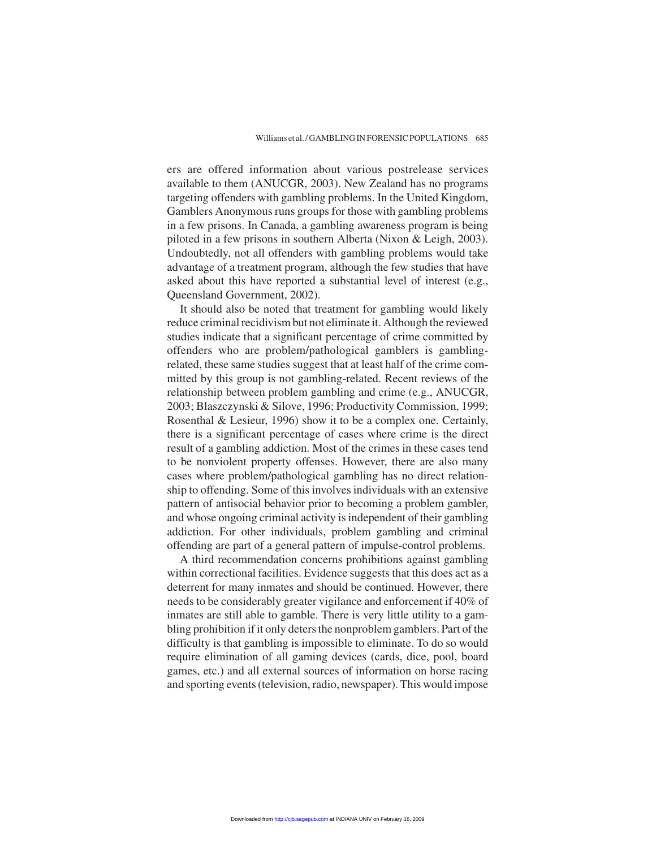ers are offered information about various postrelease services available to them (ANUCGR, 2003). New Zealand has no programs targeting offenders with gambling problems. In the United Kingdom, Gamblers Anonymous runs groups for those with gambling problems in a few prisons. In Canada, a gambling awareness program is being piloted in a few prisons in southern Alberta (Nixon & Leigh, 2003). Undoubtedly, not all offenders with gambling problems would take advantage of a treatment program, although the few studies that have asked about this have reported a substantial level of interest (e.g., Queensland Government, 2002).

It should also be noted that treatment for gambling would likely reduce criminal recidivism but not eliminate it. Although the reviewed studies indicate that a significant percentage of crime committed by offenders who are problem/pathological gamblers is gamblingrelated, these same studies suggest that at least half of the crime committed by this group is not gambling-related. Recent reviews of the relationship between problem gambling and crime (e.g., ANUCGR, 2003; Blaszczynski & Silove, 1996; Productivity Commission, 1999; Rosenthal & Lesieur, 1996) show it to be a complex one. Certainly, there is a significant percentage of cases where crime is the direct result of a gambling addiction. Most of the crimes in these cases tend to be nonviolent property offenses. However, there are also many cases where problem/pathological gambling has no direct relationship to offending. Some of this involves individuals with an extensive pattern of antisocial behavior prior to becoming a problem gambler, and whose ongoing criminal activity is independent of their gambling addiction. For other individuals, problem gambling and criminal offending are part of a general pattern of impulse-control problems.

A third recommendation concerns prohibitions against gambling within correctional facilities. Evidence suggests that this does act as a deterrent for many inmates and should be continued. However, there needs to be considerably greater vigilance and enforcement if 40% of inmates are still able to gamble. There is very little utility to a gambling prohibition if it only deters the nonproblem gamblers. Part of the difficulty is that gambling is impossible to eliminate. To do so would require elimination of all gaming devices (cards, dice, pool, board games, etc.) and all external sources of information on horse racing and sporting events (television, radio, newspaper). This would impose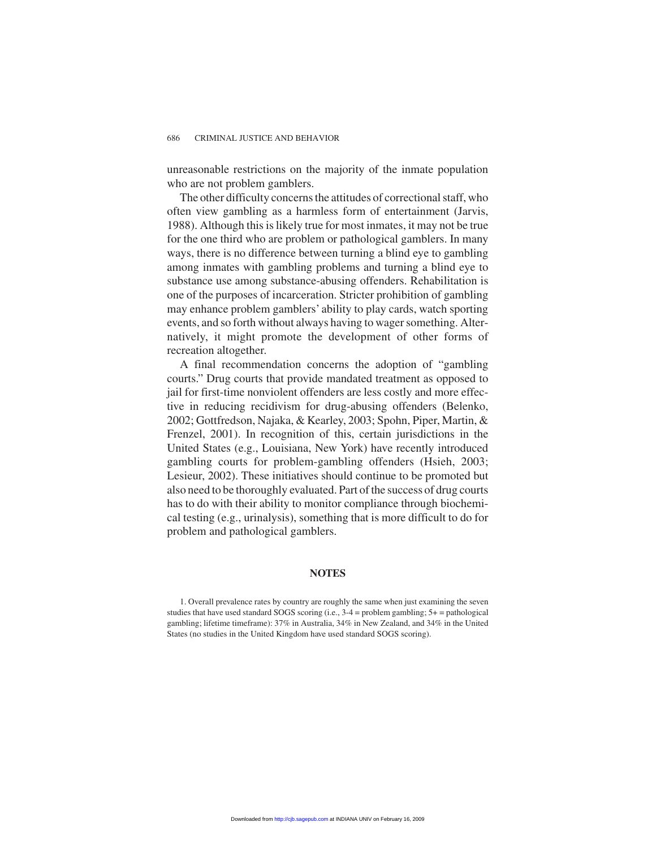unreasonable restrictions on the majority of the inmate population who are not problem gamblers.

The other difficulty concerns the attitudes of correctional staff, who often view gambling as a harmless form of entertainment (Jarvis, 1988). Although this is likely true for most inmates, it may not be true for the one third who are problem or pathological gamblers. In many ways, there is no difference between turning a blind eye to gambling among inmates with gambling problems and turning a blind eye to substance use among substance-abusing offenders. Rehabilitation is one of the purposes of incarceration. Stricter prohibition of gambling may enhance problem gamblers' ability to play cards, watch sporting events, and so forth without always having to wager something. Alternatively, it might promote the development of other forms of recreation altogether.

A final recommendation concerns the adoption of "gambling courts." Drug courts that provide mandated treatment as opposed to jail for first-time nonviolent offenders are less costly and more effective in reducing recidivism for drug-abusing offenders (Belenko, 2002; Gottfredson, Najaka, & Kearley, 2003; Spohn, Piper, Martin, & Frenzel, 2001). In recognition of this, certain jurisdictions in the United States (e.g., Louisiana, New York) have recently introduced gambling courts for problem-gambling offenders (Hsieh, 2003; Lesieur, 2002). These initiatives should continue to be promoted but also need to be thoroughly evaluated. Part of the success of drug courts has to do with their ability to monitor compliance through biochemical testing (e.g., urinalysis), something that is more difficult to do for problem and pathological gamblers.

#### **NOTES**

<sup>1.</sup> Overall prevalence rates by country are roughly the same when just examining the seven studies that have used standard SOGS scoring (i.e.,  $3-4$  = problem gambling;  $5+$  = pathological gambling; lifetime timeframe): 37% in Australia, 34% in New Zealand, and 34% in the United States (no studies in the United Kingdom have used standard SOGS scoring).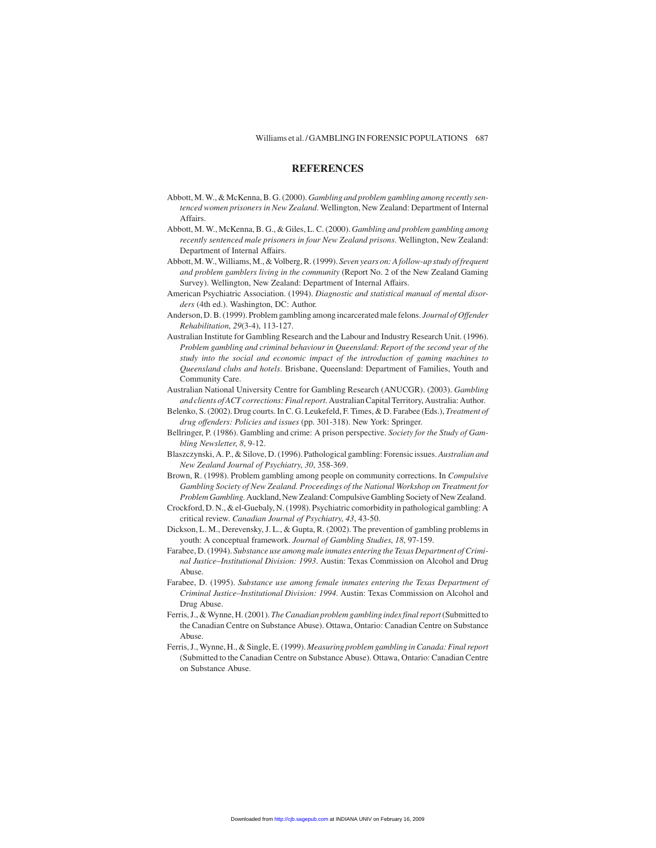#### **REFERENCES**

- Abbott, M. W., & McKenna, B. G. (2000).*Gambling and problem gambling among recently sentenced women prisoners in New Zealand*. Wellington, New Zealand: Department of Internal Affairs.
- Abbott, M. W., McKenna, B. G., & Giles, L. C. (2000). *Gambling and problem gambling among recently sentenced male prisoners in four New Zealand prisons*. Wellington, New Zealand: Department of Internal Affairs.
- Abbott, M. W., Williams, M., & Volberg, R. (1999). *Seven years on: A follow-up study of frequent and problem gamblers living in the community* (Report No. 2 of the New Zealand Gaming Survey). Wellington, New Zealand: Department of Internal Affairs.
- American Psychiatric Association. (1994). *Diagnostic and statistical manual of mental disorders* (4th ed.). Washington, DC: Author.
- Anderson, D. B. (1999). Problem gambling among incarcerated male felons. *Journal of Offender Rehabilitation*, *29*(3-4), 113-127.
- Australian Institute for Gambling Research and the Labour and Industry Research Unit. (1996). *Problem gambling and criminal behaviour in Queensland: Report of the second year of the study into the social and economic impact of the introduction of gaming machines to Queensland clubs and hotels*. Brisbane, Queensland: Department of Families, Youth and Community Care.
- Australian National University Centre for Gambling Research (ANUCGR). (2003). *Gambling and clients of ACT corrections: Final report*. Australian Capital Territory, Australia: Author.
- Belenko, S. (2002). Drug courts. In C. G. Leukefeld, F. Times, & D. Farabee (Eds.), *Treatment of drug offenders: Policies and issues* (pp. 301-318). New York: Springer.
- Bellringer, P. (1986). Gambling and crime: A prison perspective. *Society for the Study of Gambling Newsletter*, *8*, 9-12.
- Blaszczynski, A. P., & Silove, D. (1996). Pathological gambling: Forensic issues. *Australian and New Zealand Journal of Psychiatry*, *30*, 358-369.
- Brown, R. (1998). Problem gambling among people on community corrections. In *Compulsive Gambling Society of New Zealand. Proceedings of the National Workshop on Treatment for Problem Gambling*. Auckland, New Zealand: Compulsive Gambling Society of New Zealand.
- Crockford, D. N., & el-Guebaly, N. (1998). Psychiatric comorbidity in pathological gambling: A critical review. *Canadian Journal of Psychiatry*, *43*, 43-50.
- Dickson, L. M., Derevensky, J. L., & Gupta, R. (2002). The prevention of gambling problems in youth: A conceptual framework. *Journal of Gambling Studies*, *18*, 97-159.
- Farabee, D. (1994). *Substance use among male inmates entering the Texas Department of Criminal Justice–Institutional Division: 1993*. Austin: Texas Commission on Alcohol and Drug Abuse.
- Farabee, D. (1995). *Substance use among female inmates entering the Texas Department of Criminal Justice–Institutional Division: 1994*. Austin: Texas Commission on Alcohol and Drug Abuse.
- Ferris, J., & Wynne, H. (2001). *The Canadian problem gambling index final report*(Submitted to the Canadian Centre on Substance Abuse). Ottawa, Ontario: Canadian Centre on Substance Abuse.
- Ferris, J., Wynne, H., & Single, E. (1999). *Measuring problem gambling in Canada: Final report* (Submitted to the Canadian Centre on Substance Abuse). Ottawa, Ontario: Canadian Centre on Substance Abuse.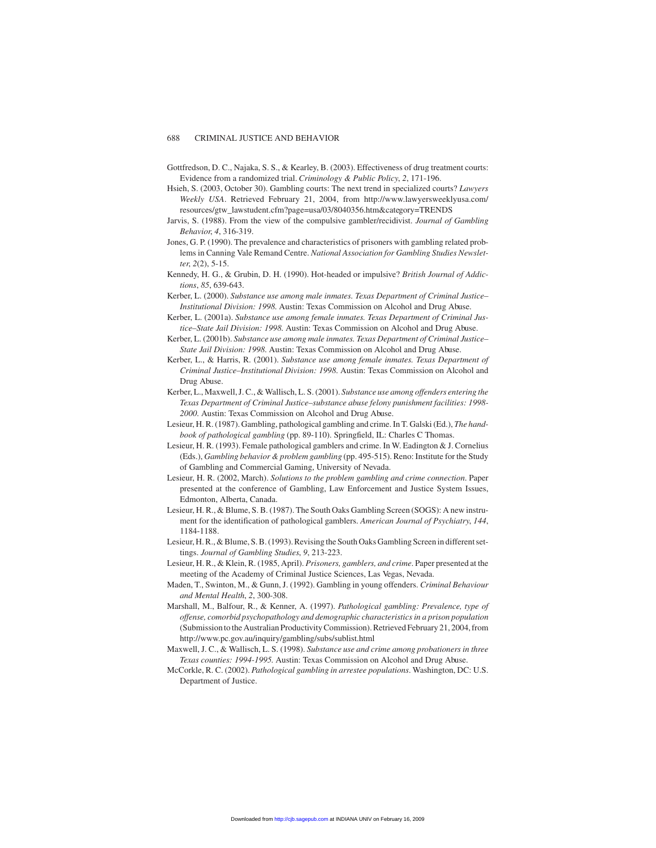- Gottfredson, D. C., Najaka, S. S., & Kearley, B. (2003). Effectiveness of drug treatment courts: Evidence from a randomized trial. *Criminology & Public Policy*, *2*, 171-196.
- Hsieh, S. (2003, October 30). Gambling courts: The next trend in specialized courts? *Lawyers Weekly USA*. Retrieved February 21, 2004, from http://www.lawyersweeklyusa.com/ resources/gtw\_lawstudent.cfm?page=usa/03/8040356.htm&category=TRENDS
- Jarvis, S. (1988). From the view of the compulsive gambler/recidivist. *Journal of Gambling Behavior*, *4*, 316-319.
- Jones, G. P. (1990). The prevalence and characteristics of prisoners with gambling related problems in Canning Vale Remand Centre. *National Association for Gambling Studies Newsletter*, *2*(2), 5-15.
- Kennedy, H. G., & Grubin, D. H. (1990). Hot-headed or impulsive? *British Journal of Addictions*, *85*, 639-643.
- Kerber, L. (2000). *Substance use among male inmates. Texas Department of Criminal Justice– Institutional Division: 1998*. Austin: Texas Commission on Alcohol and Drug Abuse.
- Kerber, L. (2001a). *Substance use among female inmates. Texas Department of Criminal Justice–State Jail Division: 1998*. Austin: Texas Commission on Alcohol and Drug Abuse.
- Kerber, L. (2001b). *Substance use among male inmates. Texas Department of Criminal Justice– State Jail Division: 1998*. Austin: Texas Commission on Alcohol and Drug Abuse.
- Kerber, L., & Harris, R. (2001). *Substance use among female inmates. Texas Department of Criminal Justice–Institutional Division: 1998*. Austin: Texas Commission on Alcohol and Drug Abuse.
- Kerber, L., Maxwell, J. C., & Wallisch, L. S. (2001). *Substance use among offenders entering the Texas Department of Criminal Justice–substance abuse felony punishment facilities: 1998- 2000*. Austin: Texas Commission on Alcohol and Drug Abuse.
- Lesieur, H. R. (1987). Gambling, pathological gambling and crime. In T. Galski (Ed.), *The handbook of pathological gambling* (pp. 89-110). Springfield, IL: Charles C Thomas.
- Lesieur, H. R. (1993). Female pathological gamblers and crime. In W. Eadington & J. Cornelius (Eds.), *Gambling behavior & problem gambling* (pp. 495-515). Reno: Institute for the Study of Gambling and Commercial Gaming, University of Nevada.
- Lesieur, H. R. (2002, March). *Solutions to the problem gambling and crime connection*. Paper presented at the conference of Gambling, Law Enforcement and Justice System Issues, Edmonton, Alberta, Canada.
- Lesieur, H. R., & Blume, S. B. (1987). The South Oaks Gambling Screen (SOGS): A new instrument for the identification of pathological gamblers. *American Journal of Psychiatry*, *144*, 1184-1188.
- Lesieur, H. R., & Blume, S. B. (1993). Revising the South Oaks Gambling Screen in different settings. *Journal of Gambling Studies*, *9*, 213-223.
- Lesieur, H. R., & Klein, R. (1985, April). *Prisoners, gamblers, and crime*. Paper presented at the meeting of the Academy of Criminal Justice Sciences, Las Vegas, Nevada.
- Maden, T., Swinton, M., & Gunn, J. (1992). Gambling in young offenders. *Criminal Behaviour and Mental Health*, *2*, 300-308.
- Marshall, M., Balfour, R., & Kenner, A. (1997). *Pathological gambling: Prevalence, type of offense, comorbid psychopathology and demographic characteristics in a prison population* (Submission to the Australian Productivity Commission). Retrieved February 21, 2004, from http://www.pc.gov.au/inquiry/gambling/subs/sublist.html
- Maxwell, J. C., & Wallisch, L. S. (1998). *Substance use and crime among probationers in three Texas counties: 1994-1995*. Austin: Texas Commission on Alcohol and Drug Abuse.
- McCorkle, R. C. (2002). *Pathological gambling in arrestee populations*. Washington, DC: U.S. Department of Justice.